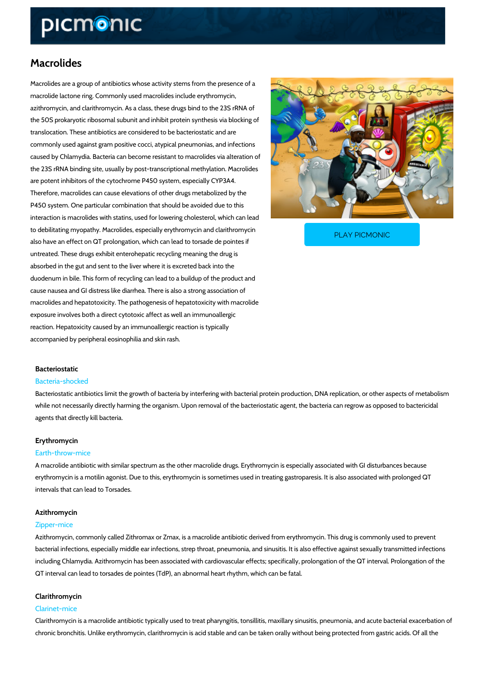# Macrolides

Macrolides are a group of antibiotics whose activity stems from the presence of a macrolide lactone ring. Commonly used macrolides include erythromycin, azithromycin, and clarithromycin. As a class, these drugs bind to the 23S rRNA of the 50S prokaryotic ribosomal subunit and inhibit protein synthesis via blocking of translocation. These antibiotics are considered to be bacteriostatic and are commonly used against gram positive cocci, atypical pneumonias, and infections caused by Chlamydia. Bacteria can become resistant to macrolides via alteration of the 23S rRNA binding site, usually by post-transcriptional methylation. Macrolides are potent inhibitors of the cytochrome P450 system, especially CYP3A4. Therefore, macrolides can cause elevations of other drugs metabolized by the P450 system. One particular combination that should be avoided due to this interaction is macrolides with statins, used for lowering cholesterol, which can lead

to debilitating myopathy. Macrolides, especially erythromy also have an effect on QT prolongation, which can lead to

PLAY PICMONIC

untreated. These drugs exhibit enterohepatic recycling meaning the drug is absorbed in the gut and sent to the liver where it is excreted back into the duodenum in bile. This form of recycling can lead to a buildup of the product and cause nausea and GI distress like diarrhea. There is also a strong association of macrolides and hepatotoxicity. The pathogenesis of hepatotoxicity with macrolide exposure involves both a direct cytotoxic affect as well an immunoallergic reaction. Hepatoxicity caused by an immunoallergic reaction is typically accompanied by peripheral eosinophilia and skin rash.

### Bacteriostatic

#### Bacteria-shocked

Bacteriostatic antibiotics limit the growth of bacteria by interfering with bacterial protein pro while not necessarily directly harming the organism. Upon removal of the bacteriostatic agent agents that directly kill bacteria.

#### Erythromycin

#### Earth-throw-mice

A macrolide antibiotic with similar spectrum as the other macrolide drugs. Erythromycin is esp erythromycin is a motilin agonist. Due to this, erythromycin is sometimes used in treating gas intervals that can lead to Torsades.

## Azithromycin

## Zipper-mice

Azithromycin, commonly called Zithromax or Zmax, is a macrolide antibiotic derived from eryth bacterial infections, especially middle ear infections, strep throat, pneumonia, and sinusitis. including Chlamydia. Azithromycin has been associated with cardiovascular effects; specifical QT interval can lead to torsades de pointes (TdP), an abnormal heart rhythm, which can be fa

## Clarithromycin

## Clarinet-mice

Clarithromycin is a macrolide antibiotic typically used to treat pharyngitis, tonsillitis, maxilla chronic bronchitis. Unlike erythromycin, clarithromycin is acid stable and can be taken orally